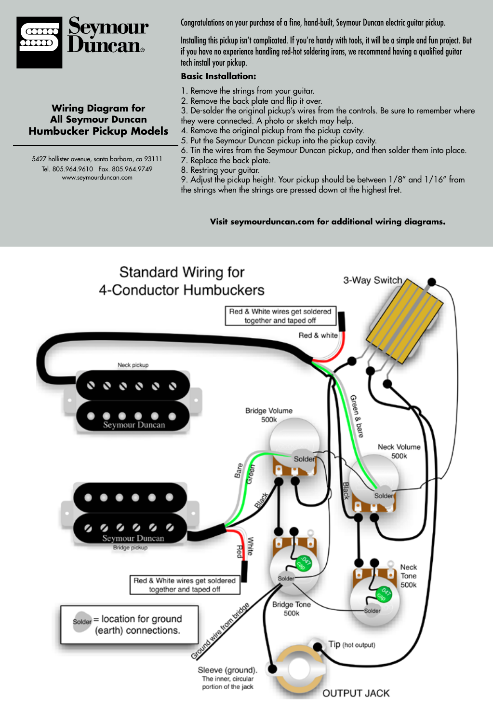

## **Wiring Diagram for All Seymour Duncan Humbucker Pickup Models**

5427 hollister avenue, santa barbara, ca 93111 Tel. 805.964.9610 Fax. 805.964.9749 www.seymourduncan.com

Congratulations on your purchase of a fine, hand-built, Seymour Duncan electric guitar pickup.

Installing this pickup isn't complicated. If you're handy with tools, it will be a simple and fun project. But if you have no experience handling red-hot soldering irons, we recommend having a qualified guitar tech install your pickup.

## **Basic Installation:**

- 1. Remove the strings from your guitar.
- 2. Remove the back plate and flip it over.
- 3. De-solder the original pickup's wires from the controls. Be sure to remember where they were connected. A photo or sketch may help.
- 4. Remove the original pickup from the pickup cavity.
- 5. Put the Seymour Duncan pickup into the pickup cavity.
- 6. Tin the wires from the Seymour Duncan pickup, and then solder them into place.
- 7. Replace the back plate.
- 8. Restring your guitar.

9. Adjust the pickup height. Your pickup should be between 1/8" and 1/16" from the strings when the strings are pressed down at the highest fret.

## **Visit seymourduncan.com for additional wiring diagrams.**